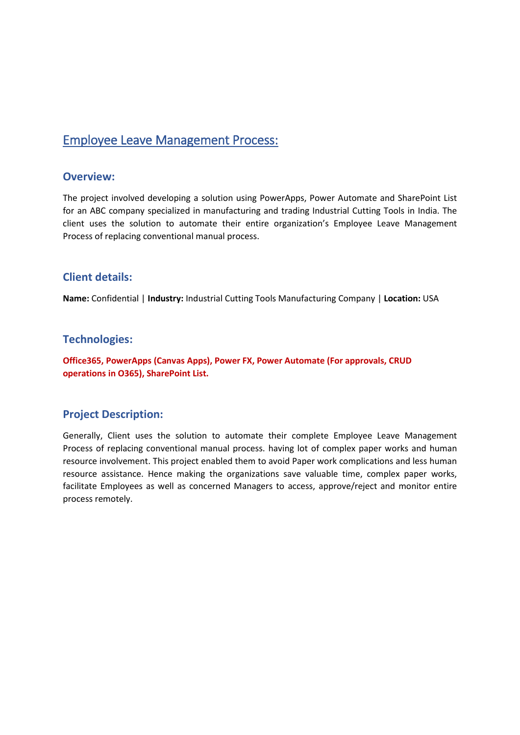# Employee Leave Management Process:

## **Overview:**

The project involved developing a solution using PowerApps, Power Automate and SharePoint List for an ABC company specialized in manufacturing and trading Industrial Cutting Tools in India. The client uses the solution to automate their entire organization's Employee Leave Management Process of replacing conventional manual process.

## **Client details:**

**Name:** Confidential | **Industry:** Industrial Cutting Tools Manufacturing Company | **Location:** USA

## **Technologies:**

**Office365, PowerApps (Canvas Apps), Power FX, Power Automate (For approvals, CRUD operations in O365), SharePoint List.**

## **Project Description:**

Generally, Client uses the solution to automate their complete Employee Leave Management Process of replacing conventional manual process. having lot of complex paper works and human resource involvement. This project enabled them to avoid Paper work complications and less human resource assistance. Hence making the organizations save valuable time, complex paper works, facilitate Employees as well as concerned Managers to access, approve/reject and monitor entire process remotely.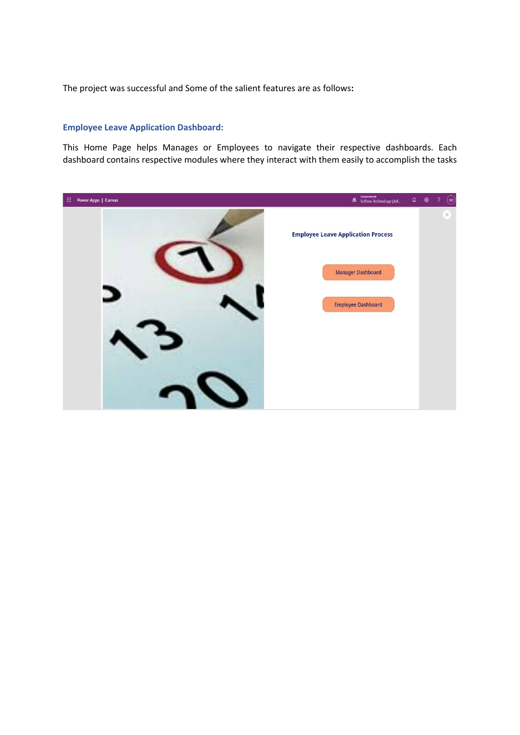The project was successful and Some of the salient features are as follows**:**

### **Employee Leave Application Dashboard:**

This Home Page helps Manages or Employees to navigate their respective dashboards. Each dashboard contains respective modules where they interact with them easily to accomplish the tasks

| $\mathbb{H}^+$<br>Power Apps   Canvas | Environment<br>Softree Technology (def    | $\begin{array}{ccc} \text{\LARGE Q} & \text{\LARGE \& \end{array}$ | $\gamma$ | $\odot$      |
|---------------------------------------|-------------------------------------------|--------------------------------------------------------------------|----------|--------------|
|                                       | <b>Employee Leave Application Process</b> |                                                                    |          | $\mathsf{X}$ |
|                                       | <b>Manager Dashboard</b>                  |                                                                    |          |              |
|                                       | <b>Employee Dashboard</b>                 |                                                                    |          |              |
|                                       |                                           |                                                                    |          |              |
|                                       |                                           |                                                                    |          |              |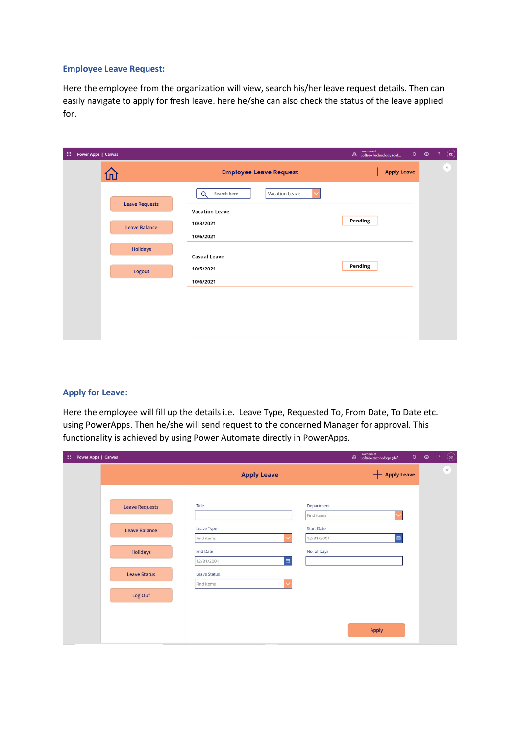#### **Employee Leave Request:**

Here the employee from the organization will view, search his/her leave request details. Then can easily navigate to apply for fresh leave. here he/she can also check the status of the leave applied for.

| 田<br>Power Apps   Canvas |                                           | Environment<br><b>28</b> Softree Technology (def | $\begin{array}{c} \textbf{(R)} \\ \textbf{R} \end{array}$<br>$\begin{array}{ccc}\n\Box & \circledcirc & \circled{?}\n\end{array}$ |
|--------------------------|-------------------------------------------|--------------------------------------------------|-----------------------------------------------------------------------------------------------------------------------------------|
| lп                       | <b>Employee Leave Request</b>             | <b>+ Apply Leave</b>                             | $\times$                                                                                                                          |
|                          | Search here<br>Vacation Leave<br>$\Omega$ |                                                  |                                                                                                                                   |
| <b>Leave Requests</b>    | <b>Vacation Leave</b><br>10/3/2021        | Pending                                          |                                                                                                                                   |
| <b>Leave Balance</b>     | 10/6/2021                                 |                                                  |                                                                                                                                   |
| <b>Holidays</b>          | <b>Casual Leave</b>                       |                                                  |                                                                                                                                   |
| Logout                   | 10/5/2021<br>10/6/2021                    | Pending                                          |                                                                                                                                   |
|                          |                                           |                                                  |                                                                                                                                   |
|                          |                                           |                                                  |                                                                                                                                   |
|                          |                                           |                                                  |                                                                                                                                   |

### **Apply for Leave:**

Here the employee will fill up the details i.e. Leave Type, Requested To, From Date, To Date etc. using PowerApps. Then he/she will send request to the concerned Manager for approval. This functionality is achieved by using Power Automate directly in PowerApps.

| 田.<br>Power Apps   Canvas |                       |                                                    |                                 | Environment<br>Softree technology (def | $\circledS$<br>$\begin{array}{ccccccccc}\n\bullet & \circ & \circ & \circ & \circ\n\end{array}$ |
|---------------------------|-----------------------|----------------------------------------------------|---------------------------------|----------------------------------------|-------------------------------------------------------------------------------------------------|
|                           |                       | <b>Apply Leave</b>                                 |                                 | <b>+ Apply Leave</b>                   | $\times$                                                                                        |
|                           | <b>Leave Requests</b> | Title                                              | Department<br>Find items        |                                        |                                                                                                 |
|                           | <b>Leave Balance</b>  | Leave Type<br>Find items                           | <b>Start Date</b><br>12/31/2001 | $\blacksquare$                         |                                                                                                 |
|                           | <b>Holidays</b>       | <b>End Date</b>                                    | No. of Days                     |                                        |                                                                                                 |
|                           | <b>Leave Status</b>   | $\Box$<br>12/31/2001<br>Leave Status<br>Find items |                                 |                                        |                                                                                                 |
|                           | Log Out               |                                                    |                                 |                                        |                                                                                                 |
|                           |                       |                                                    |                                 | Apply                                  |                                                                                                 |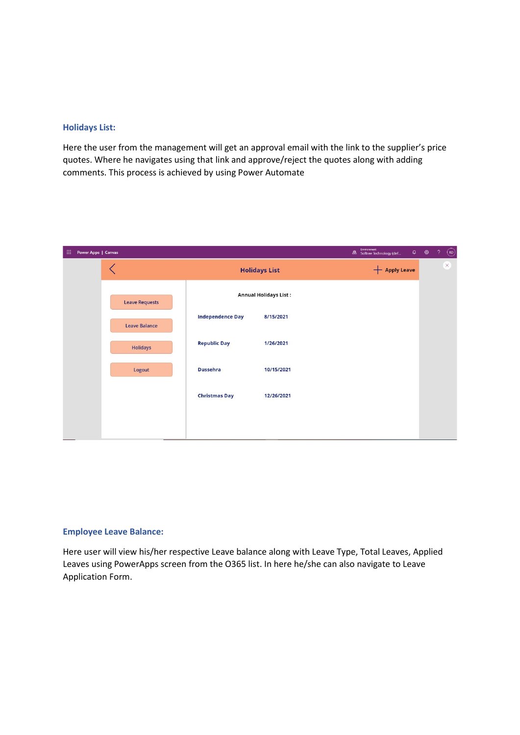#### **Holidays List:**

Here the user from the management will get an approval email with the link to the supplier's price quotes. Where he navigates using that link and approve/reject the quotes along with adding comments. This process is achieved by using Power Automate

| 田 | Power Apps   Canvas |                      |                       |                         |                              |  | Environment<br>Softree Technology (def |  | $\begin{array}{cc} \bullet & \circledcirc \end{array}$ | $\mathcal{P}$ | $\bigcirc$ |
|---|---------------------|----------------------|-----------------------|-------------------------|------------------------------|--|----------------------------------------|--|--------------------------------------------------------|---------------|------------|
|   |                     |                      |                       |                         | <b>Holidays List</b>         |  |                                        |  |                                                        |               | $\times$   |
|   |                     |                      | <b>Leave Requests</b> |                         | <b>Annual Holidays List:</b> |  |                                        |  |                                                        |               |            |
|   |                     | <b>Leave Balance</b> |                       | <b>Independence Day</b> | 8/15/2021                    |  |                                        |  |                                                        |               |            |
|   |                     |                      | <b>Holidays</b>       | <b>Republic Day</b>     | 1/26/2021                    |  |                                        |  |                                                        |               |            |
|   |                     |                      | Logout                | <b>Dussehra</b>         | 10/15/2021                   |  |                                        |  |                                                        |               |            |
|   |                     |                      |                       | <b>Christmas Day</b>    | 12/26/2021                   |  |                                        |  |                                                        |               |            |
|   |                     |                      |                       |                         |                              |  |                                        |  |                                                        |               |            |

#### **Employee Leave Balance:**

Here user will view his/her respective Leave balance along with Leave Type, Total Leaves, Applied Leaves using PowerApps screen from the O365 list. In here he/she can also navigate to Leave Application Form.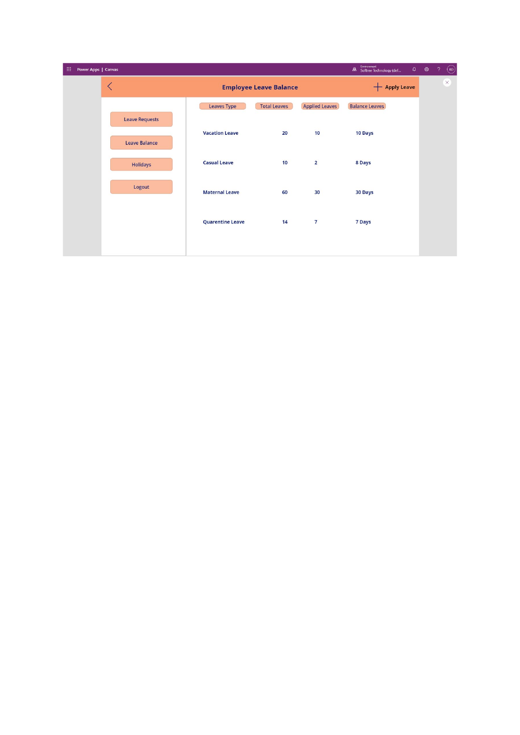| 曲 | Power Apps   Canvas |                                  |                       |                         |                     |                       | Environment<br>Softree Technology (def | $\mathsf{Q}$ | ශ | $\gamma$ | $\odot$ |
|---|---------------------|----------------------------------|-----------------------|-------------------------|---------------------|-----------------------|----------------------------------------|--------------|---|----------|---------|
|   |                     | $\hspace{0.5cm}\mathopen\langle$ |                       | <b>Apply Leave</b><br>┭ |                     |                       |                                        | $\times$     |   |          |         |
|   |                     |                                  |                       | <b>Leaves Type</b>      | <b>Total Leaves</b> | <b>Applied Leaves</b> | <b>Balance Leaves</b>                  |              |   |          |         |
|   |                     |                                  | <b>Leave Requests</b> | <b>Vacation Leave</b>   | 20                  | 10                    | <b>10 Days</b>                         |              |   |          |         |
|   |                     |                                  | <b>Leave Balance</b>  |                         |                     |                       |                                        |              |   |          |         |
|   |                     |                                  | <b>Holidays</b>       | <b>Casual Leave</b>     | 10                  | $\overline{2}$        | 8 Days                                 |              |   |          |         |
|   |                     |                                  | Logout                | <b>Maternal Leave</b>   | 60                  | 30                    | <b>30 Days</b>                         |              |   |          |         |
|   |                     |                                  |                       |                         |                     |                       |                                        |              |   |          |         |
|   |                     |                                  |                       | <b>Quarentine Leave</b> | 14                  | $\overline{7}$        | <b>7 Days</b>                          |              |   |          |         |
|   |                     |                                  |                       |                         |                     |                       |                                        |              |   |          |         |